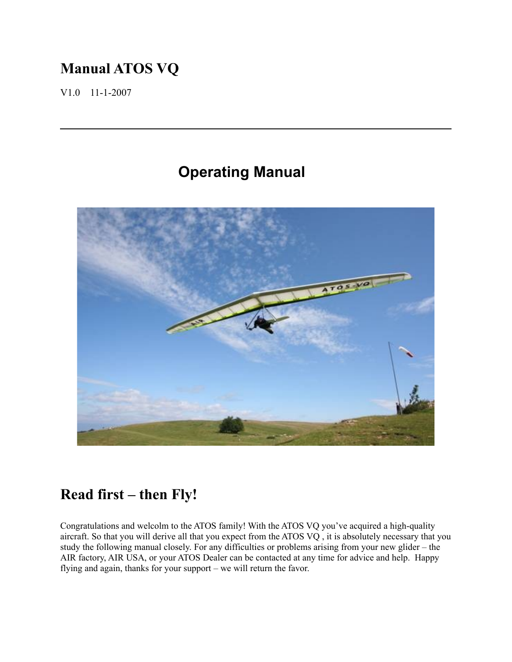# **Manual ATOS VQ**

V1.0 11-1-2007

# **Operating Manual**



# **Read first – then Fly!**

Congratulations and welcolm to the ATOS family! With the ATOS VQ you've acquired a high-quality aircraft. So that you will derive all that you expect from the ATOS VQ , it is absolutely necessary that you study the following manual closely. For any difficulties or problems arising from your new glider – the AIR factory, AIR USA, or your ATOS Dealer can be contacted at any time for advice and help. Happy flying and again, thanks for your support – we will return the favor.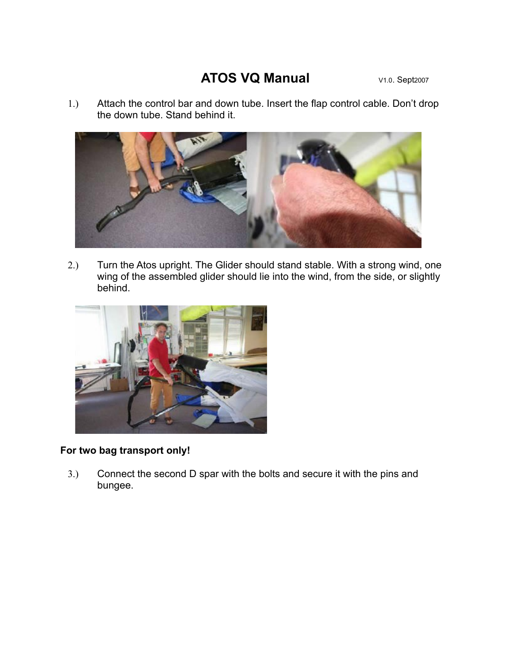## **ATOS VQ Manual** V1.0. Sept2007

1.) Attach the control bar and down tube. Insert the flap control cable. Don't drop the down tube. Stand behind it.



2.) Turn the Atos upright. The Glider should stand stable. With a strong wind, one wing of the assembled glider should lie into the wind, from the side, or slightly behind.



#### **For two bag transport only!**

3.) Connect the second D spar with the bolts and secure it with the pins and bungee.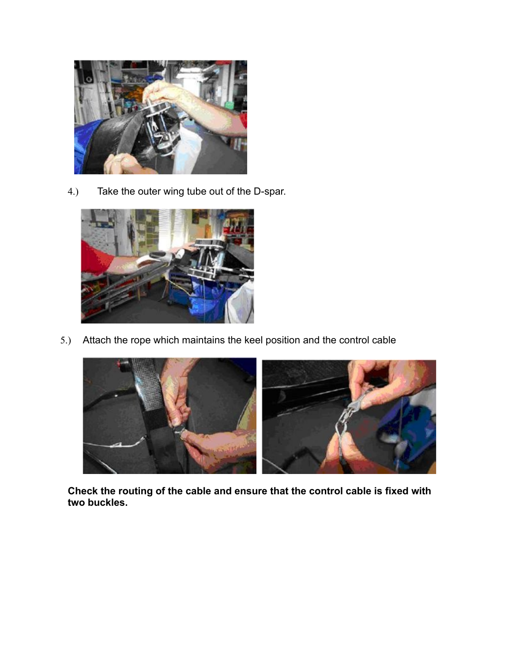

4.) Take the outer wing tube out of the D-spar.



5.) Attach the rope which maintains the keel position and the control cable



**Check the routing of the cable and ensure that the control cable is fixed with two buckles.**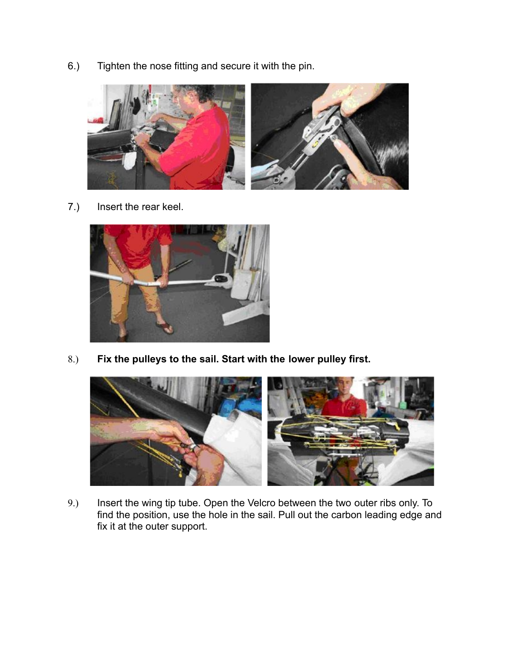6.) Tighten the nose fitting and secure it with the pin.



7.) Insert the rear keel.



8.) **Fix the pulleys to the sail. Start with the lower pulley first.**



9.) Insert the wing tip tube. Open the Velcro between the two outer ribs only. To find the position, use the hole in the sail. Pull out the carbon leading edge and fix it at the outer support.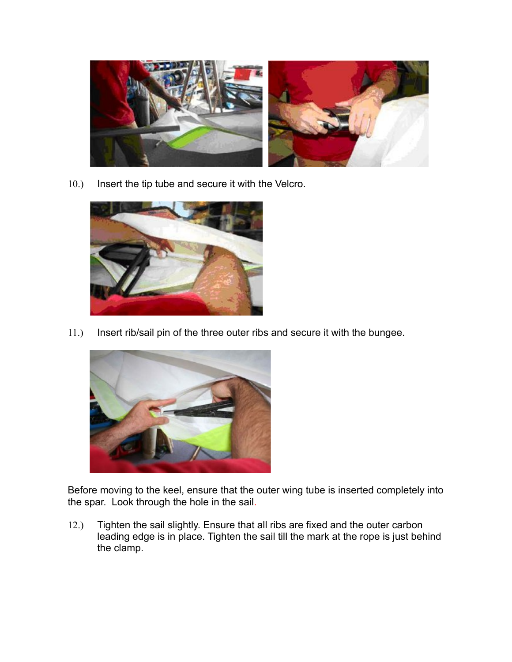

10.) Insert the tip tube and secure it with the Velcro.



11.) Insert rib/sail pin of the three outer ribs and secure it with the bungee.



Before moving to the keel, ensure that the outer wing tube is inserted completely into the spar. Look through the hole in the sail.

12.) Tighten the sail slightly. Ensure that all ribs are fixed and the outer carbon leading edge is in place. Tighten the sail till the mark at the rope is just behind the clamp.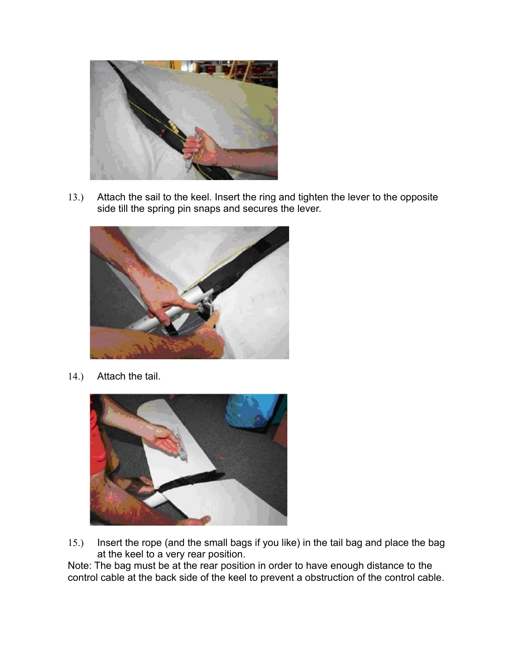

13.) Attach the sail to the keel. Insert the ring and tighten the lever to the opposite side till the spring pin snaps and secures the lever.



14.) Attach the tail.



15.) Insert the rope (and the small bags if you like) in the tail bag and place the bag at the keel to a very rear position.

Note: The bag must be at the rear position in order to have enough distance to the control cable at the back side of the keel to prevent a obstruction of the control cable.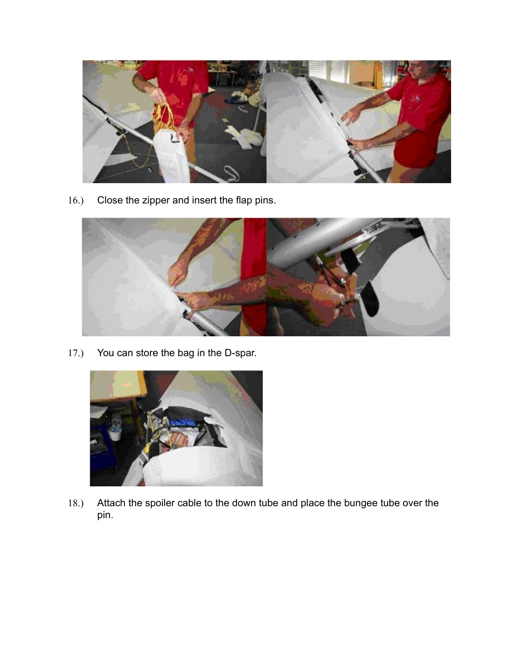

16.) Close the zipper and insert the flap pins.



17.) You can store the bag in the D-spar.



18.) Attach the spoiler cable to the down tube and place the bungee tube over the pin.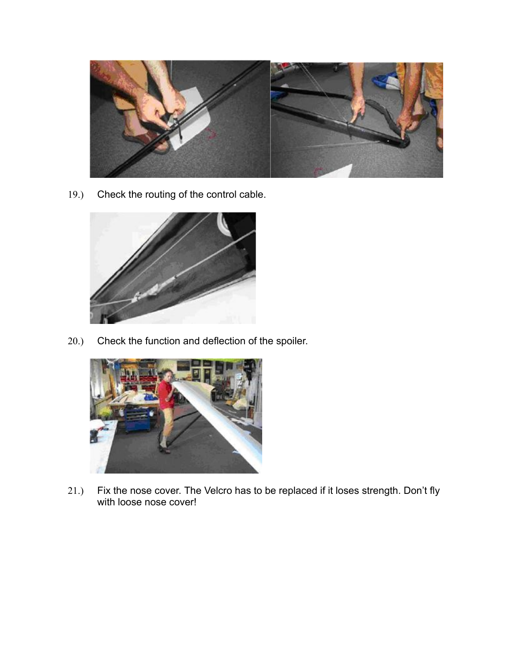

19.) Check the routing of the control cable.



20.) Check the function and deflection of the spoiler.



21.) Fix the nose cover. The Velcro has to be replaced if it loses strength. Don't fly with loose nose cover!